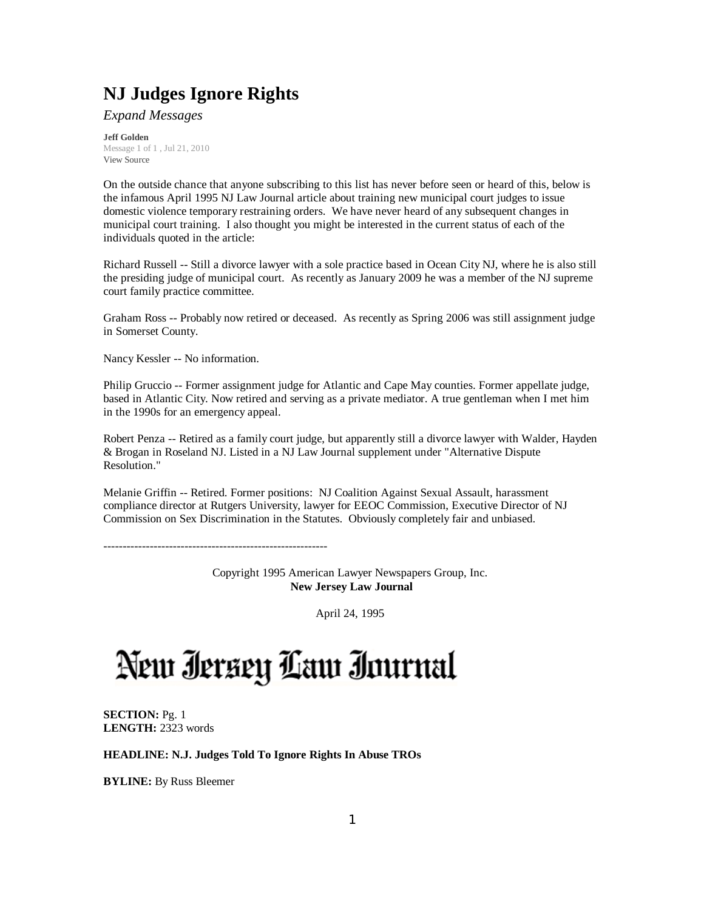# **NJ Judges Ignore Rights**

# *Expand Messages*

**Jeff Golden** Message 1 of 1 , Jul 21, 2010 View Source

On the outside chance that anyone subscribing to this list has never before seen or heard of this, below is the infamous April 1995 NJ Law Journal article about training new municipal court judges to issue domestic violence temporary restraining orders. We have never heard of any subsequent changes in municipal court training. I also thought you might be interested in the current status of each of the individuals quoted in the article:

Richard Russell -- Still a divorce lawyer with a sole practice based in Ocean City NJ, where he is also still the presiding judge of municipal court. As recently as January 2009 he was a member of the NJ supreme court family practice committee.

Graham Ross -- Probably now retired or deceased. As recently as Spring 2006 was still assignment judge in Somerset County.

Nancy Kessler -- No information.

Philip Gruccio -- Former assignment judge for Atlantic and Cape May counties. Former appellate judge, based in Atlantic City. Now retired and serving as a private mediator. A true gentleman when I met him in the 1990s for an emergency appeal.

Robert Penza -- Retired as a family court judge, but apparently still a divorce lawyer with Walder, Hayden & Brogan in Roseland NJ. Listed in a NJ Law Journal supplement under "Alternative Dispute Resolution."

Melanie Griffin -- Retired. Former positions: NJ Coalition Against Sexual Assault, harassment compliance director at Rutgers University, lawyer for EEOC Commission, Executive Director of NJ Commission on Sex Discrimination in the Statutes. Obviously completely fair and unbiased.

----------------------------------------------------------

Copyright 1995 American Lawyer Newspapers Group, Inc. **New Jersey Law Journal**

April 24, 1995

# New Iersey Law Inurnal

**SECTION:** Pg. 1 **LENGTH:** 2323 words

**HEADLINE: N.J. Judges Told To Ignore Rights In Abuse TROs**

**BYLINE:** By Russ Bleemer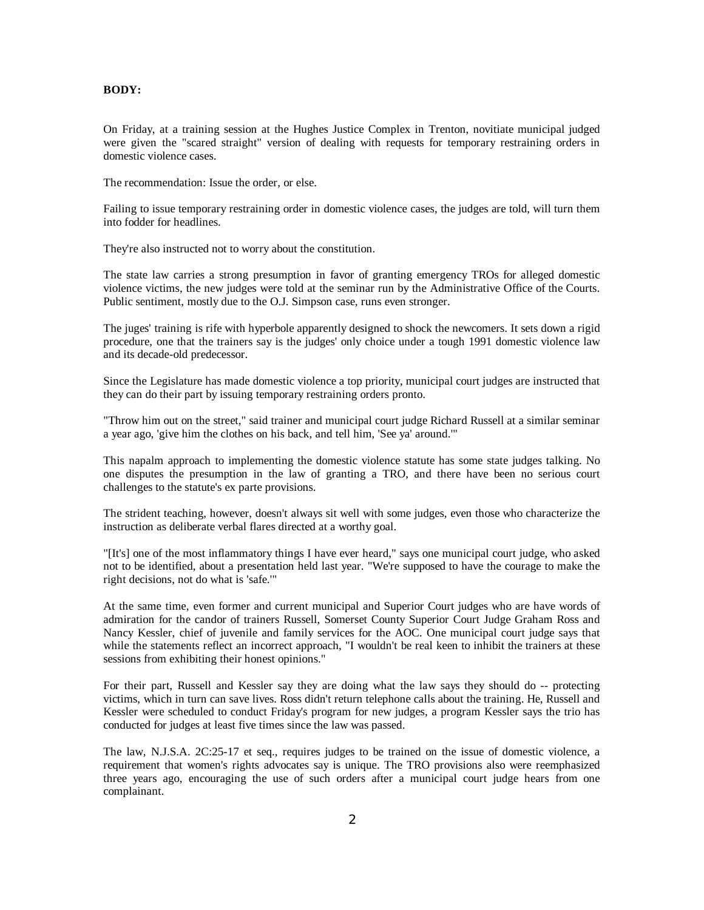## **BODY:**

On Friday, at a training session at the Hughes Justice Complex in Trenton, novitiate municipal judged were given the "scared straight" version of dealing with requests for temporary restraining orders in domestic violence cases.

The recommendation: Issue the order, or else.

Failing to issue temporary restraining order in domestic violence cases, the judges are told, will turn them into fodder for headlines.

They're also instructed not to worry about the constitution.

The state law carries a strong presumption in favor of granting emergency TROs for alleged domestic violence victims, the new judges were told at the seminar run by the Administrative Office of the Courts. Public sentiment, mostly due to the O.J. Simpson case, runs even stronger.

The juges' training is rife with hyperbole apparently designed to shock the newcomers. It sets down a rigid procedure, one that the trainers say is the judges' only choice under a tough 1991 domestic violence law and its decade-old predecessor.

Since the Legislature has made domestic violence a top priority, municipal court judges are instructed that they can do their part by issuing temporary restraining orders pronto.

"Throw him out on the street," said trainer and municipal court judge Richard Russell at a similar seminar a year ago, 'give him the clothes on his back, and tell him, 'See ya' around.'"

This napalm approach to implementing the domestic violence statute has some state judges talking. No one disputes the presumption in the law of granting a TRO, and there have been no serious court challenges to the statute's ex parte provisions.

The strident teaching, however, doesn't always sit well with some judges, even those who characterize the instruction as deliberate verbal flares directed at a worthy goal.

"[It's] one of the most inflammatory things I have ever heard," says one municipal court judge, who asked not to be identified, about a presentation held last year. "We're supposed to have the courage to make the right decisions, not do what is 'safe.'"

At the same time, even former and current municipal and Superior Court judges who are have words of admiration for the candor of trainers Russell, Somerset County Superior Court Judge Graham Ross and Nancy Kessler, chief of juvenile and family services for the AOC. One municipal court judge says that while the statements reflect an incorrect approach, "I wouldn't be real keen to inhibit the trainers at these sessions from exhibiting their honest opinions."

For their part, Russell and Kessler say they are doing what the law says they should do -- protecting victims, which in turn can save lives. Ross didn't return telephone calls about the training. He, Russell and Kessler were scheduled to conduct Friday's program for new judges, a program Kessler says the trio has conducted for judges at least five times since the law was passed.

The law, N.J.S.A. 2C:25-17 et seq., requires judges to be trained on the issue of domestic violence, a requirement that women's rights advocates say is unique. The TRO provisions also were reemphasized three years ago, encouraging the use of such orders after a municipal court judge hears from one complainant.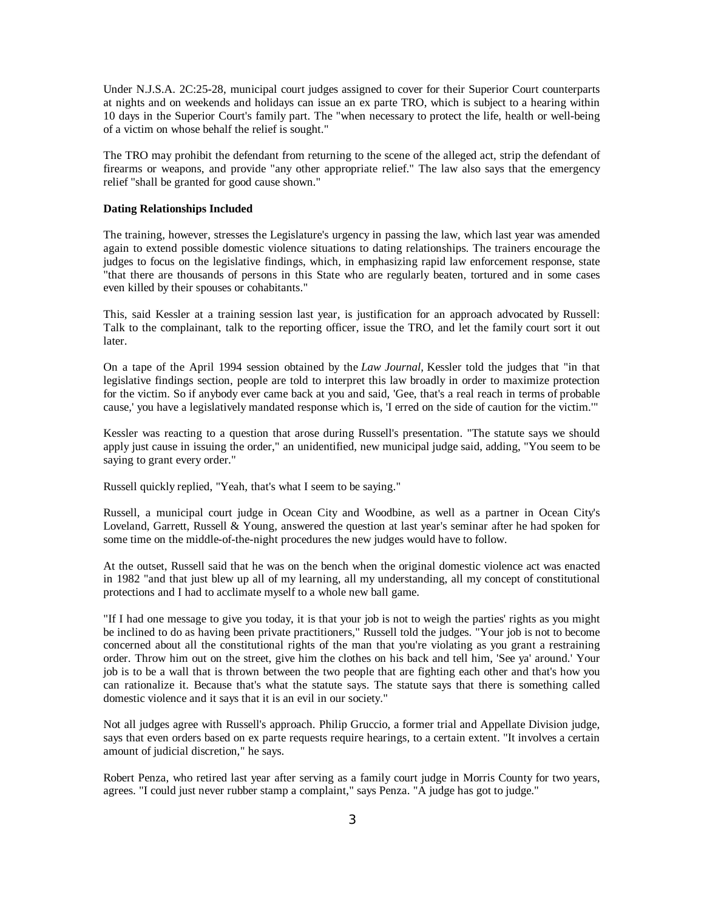Under N.J.S.A. 2C:25-28, municipal court judges assigned to cover for their Superior Court counterparts at nights and on weekends and holidays can issue an ex parte TRO, which is subject to a hearing within 10 days in the Superior Court's family part. The "when necessary to protect the life, health or well-being of a victim on whose behalf the relief is sought."

The TRO may prohibit the defendant from returning to the scene of the alleged act, strip the defendant of firearms or weapons, and provide "any other appropriate relief." The law also says that the emergency relief "shall be granted for good cause shown."

#### **Dating Relationships Included**

The training, however, stresses the Legislature's urgency in passing the law, which last year was amended again to extend possible domestic violence situations to dating relationships. The trainers encourage the judges to focus on the legislative findings, which, in emphasizing rapid law enforcement response, state "that there are thousands of persons in this State who are regularly beaten, tortured and in some cases even killed by their spouses or cohabitants."

This, said Kessler at a training session last year, is justification for an approach advocated by Russell: Talk to the complainant, talk to the reporting officer, issue the TRO, and let the family court sort it out later.

On a tape of the April 1994 session obtained by the *Law Journal,* Kessler told the judges that "in that legislative findings section, people are told to interpret this law broadly in order to maximize protection for the victim. So if anybody ever came back at you and said, 'Gee, that's a real reach in terms of probable cause,' you have a legislatively mandated response which is, 'I erred on the side of caution for the victim.'"

Kessler was reacting to a question that arose during Russell's presentation. "The statute says we should apply just cause in issuing the order," an unidentified, new municipal judge said, adding, "You seem to be saying to grant every order."

Russell quickly replied, "Yeah, that's what I seem to be saying."

Russell, a municipal court judge in Ocean City and Woodbine, as well as a partner in Ocean City's Loveland, Garrett, Russell & Young, answered the question at last year's seminar after he had spoken for some time on the middle-of-the-night procedures the new judges would have to follow.

At the outset, Russell said that he was on the bench when the original domestic violence act was enacted in 1982 "and that just blew up all of my learning, all my understanding, all my concept of constitutional protections and I had to acclimate myself to a whole new ball game.

"If I had one message to give you today, it is that your job is not to weigh the parties' rights as you might be inclined to do as having been private practitioners," Russell told the judges. "Your job is not to become concerned about all the constitutional rights of the man that you're violating as you grant a restraining order. Throw him out on the street, give him the clothes on his back and tell him, 'See ya' around.' Your job is to be a wall that is thrown between the two people that are fighting each other and that's how you can rationalize it. Because that's what the statute says. The statute says that there is something called domestic violence and it says that it is an evil in our society."

Not all judges agree with Russell's approach. Philip Gruccio, a former trial and Appellate Division judge, says that even orders based on ex parte requests require hearings, to a certain extent. "It involves a certain amount of judicial discretion," he says.

Robert Penza, who retired last year after serving as a family court judge in Morris County for two years, agrees. "I could just never rubber stamp a complaint," says Penza. "A judge has got to judge."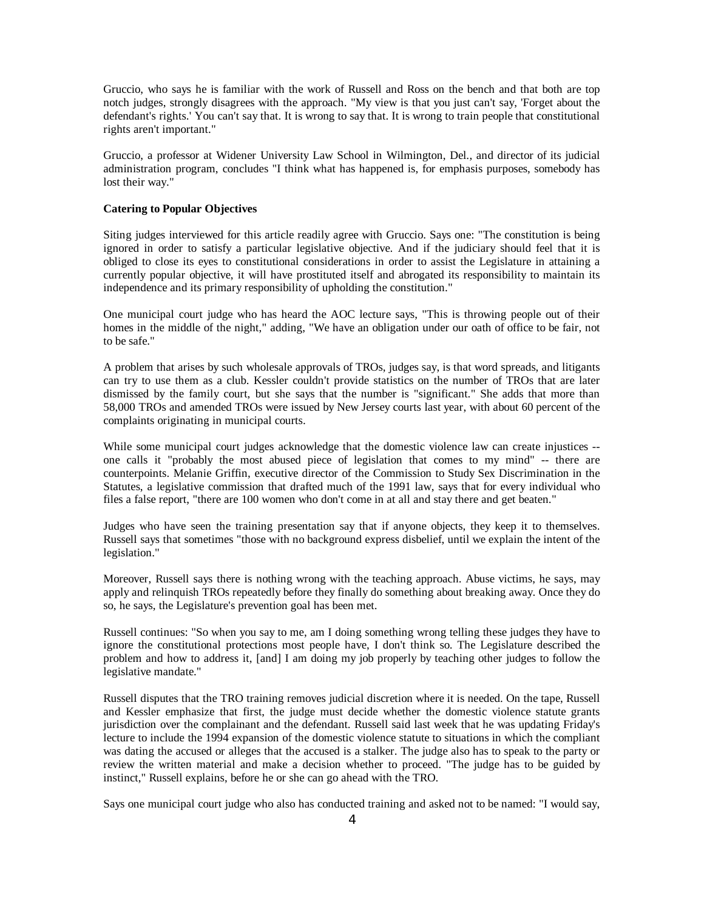Gruccio, who says he is familiar with the work of Russell and Ross on the bench and that both are top notch judges, strongly disagrees with the approach. "My view is that you just can't say, 'Forget about the defendant's rights.' You can't say that. It is wrong to say that. It is wrong to train people that constitutional rights aren't important."

Gruccio, a professor at Widener University Law School in Wilmington, Del., and director of its judicial administration program, concludes "I think what has happened is, for emphasis purposes, somebody has lost their way."

### **Catering to Popular Objectives**

Siting judges interviewed for this article readily agree with Gruccio. Says one: "The constitution is being ignored in order to satisfy a particular legislative objective. And if the judiciary should feel that it is obliged to close its eyes to constitutional considerations in order to assist the Legislature in attaining a currently popular objective, it will have prostituted itself and abrogated its responsibility to maintain its independence and its primary responsibility of upholding the constitution."

One municipal court judge who has heard the AOC lecture says, "This is throwing people out of their homes in the middle of the night," adding, "We have an obligation under our oath of office to be fair, not to be safe."

A problem that arises by such wholesale approvals of TROs, judges say, is that word spreads, and litigants can try to use them as a club. Kessler couldn't provide statistics on the number of TROs that are later dismissed by the family court, but she says that the number is "significant." She adds that more than 58,000 TROs and amended TROs were issued by New Jersey courts last year, with about 60 percent of the complaints originating in municipal courts.

While some municipal court judges acknowledge that the domestic violence law can create injustices -one calls it "probably the most abused piece of legislation that comes to my mind" -- there are counterpoints. Melanie Griffin, executive director of the Commission to Study Sex Discrimination in the Statutes, a legislative commission that drafted much of the 1991 law, says that for every individual who files a false report, "there are 100 women who don't come in at all and stay there and get beaten."

Judges who have seen the training presentation say that if anyone objects, they keep it to themselves. Russell says that sometimes "those with no background express disbelief, until we explain the intent of the legislation."

Moreover, Russell says there is nothing wrong with the teaching approach. Abuse victims, he says, may apply and relinquish TROs repeatedly before they finally do something about breaking away. Once they do so, he says, the Legislature's prevention goal has been met.

Russell continues: "So when you say to me, am I doing something wrong telling these judges they have to ignore the constitutional protections most people have, I don't think so. The Legislature described the problem and how to address it, [and] I am doing my job properly by teaching other judges to follow the legislative mandate."

Russell disputes that the TRO training removes judicial discretion where it is needed. On the tape, Russell and Kessler emphasize that first, the judge must decide whether the domestic violence statute grants jurisdiction over the complainant and the defendant. Russell said last week that he was updating Friday's lecture to include the 1994 expansion of the domestic violence statute to situations in which the compliant was dating the accused or alleges that the accused is a stalker. The judge also has to speak to the party or review the written material and make a decision whether to proceed. "The judge has to be guided by instinct," Russell explains, before he or she can go ahead with the TRO.

Says one municipal court judge who also has conducted training and asked not to be named: "I would say,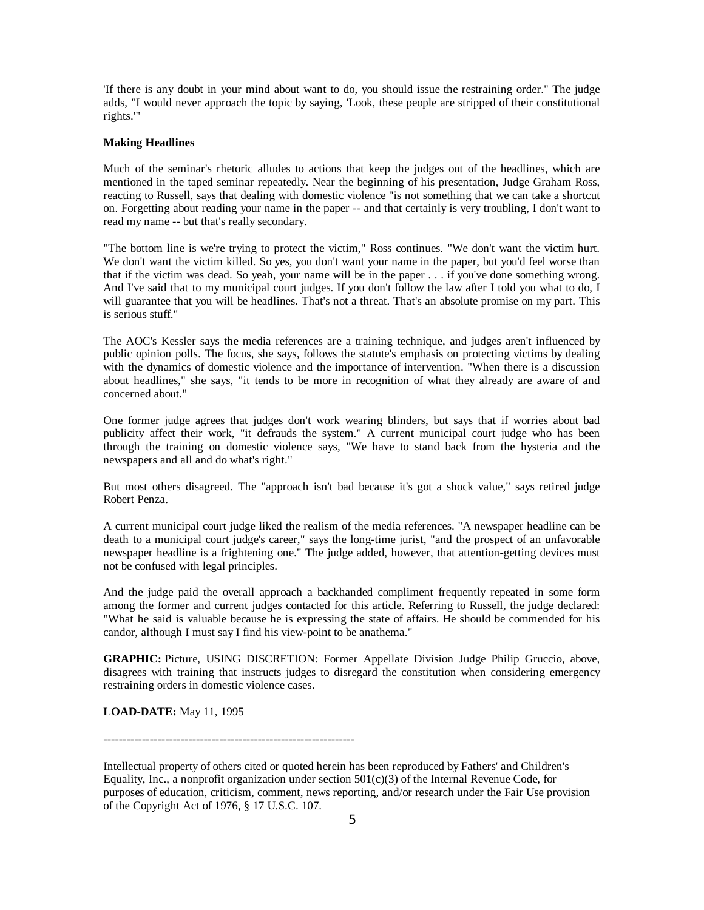'If there is any doubt in your mind about want to do, you should issue the restraining order." The judge adds, "I would never approach the topic by saying, 'Look, these people are stripped of their constitutional rights.'"

### **Making Headlines**

Much of the seminar's rhetoric alludes to actions that keep the judges out of the headlines, which are mentioned in the taped seminar repeatedly. Near the beginning of his presentation, Judge Graham Ross, reacting to Russell, says that dealing with domestic violence "is not something that we can take a shortcut on. Forgetting about reading your name in the paper -- and that certainly is very troubling, I don't want to read my name -- but that's really secondary.

"The bottom line is we're trying to protect the victim," Ross continues. "We don't want the victim hurt. We don't want the victim killed. So yes, you don't want your name in the paper, but you'd feel worse than that if the victim was dead. So yeah, your name will be in the paper . . . if you've done something wrong. And I've said that to my municipal court judges. If you don't follow the law after I told you what to do, I will guarantee that you will be headlines. That's not a threat. That's an absolute promise on my part. This is serious stuff."

The AOC's Kessler says the media references are a training technique, and judges aren't influenced by public opinion polls. The focus, she says, follows the statute's emphasis on protecting victims by dealing with the dynamics of domestic violence and the importance of intervention. "When there is a discussion about headlines," she says, "it tends to be more in recognition of what they already are aware of and concerned about."

One former judge agrees that judges don't work wearing blinders, but says that if worries about bad publicity affect their work, "it defrauds the system." A current municipal court judge who has been through the training on domestic violence says, "We have to stand back from the hysteria and the newspapers and all and do what's right."

But most others disagreed. The "approach isn't bad because it's got a shock value," says retired judge Robert Penza.

A current municipal court judge liked the realism of the media references. "A newspaper headline can be death to a municipal court judge's career," says the long-time jurist, "and the prospect of an unfavorable newspaper headline is a frightening one." The judge added, however, that attention-getting devices must not be confused with legal principles.

And the judge paid the overall approach a backhanded compliment frequently repeated in some form among the former and current judges contacted for this article. Referring to Russell, the judge declared: "What he said is valuable because he is expressing the state of affairs. He should be commended for his candor, although I must say I find his view-point to be anathema."

**GRAPHIC:** Picture, USING DISCRETION: Former Appellate Division Judge Philip Gruccio, above, disagrees with training that instructs judges to disregard the constitution when considering emergency restraining orders in domestic violence cases.

**LOAD-DATE:** May 11, 1995

-----------------------------------------------------------------

Intellectual property of others cited or quoted herein has been reproduced by Fathers' and Children's Equality, Inc., a nonprofit organization under section  $501(c)(3)$  of the Internal Revenue Code, for purposes of education, criticism, comment, news reporting, and/or research under the Fair Use provision of the Copyright Act of 1976, § 17 U.S.C. 107.